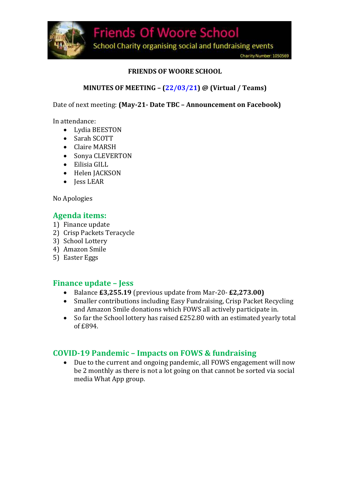

#### **FRIENDS OF WOORE SCHOOL**

#### **MINUTES OF MEETING – (22/03/21) @ (Virtual / Teams)**

Date of next meeting: **(May-21- Date TBC – Announcement on Facebook)**

In attendance:

- Lydia BEESTON
- Sarah SCOTT
- Claire MARSH
- Sonya CLEVERTON
- Eilisia GILL
- Helen JACKSON
- Jess LEAR

No Apologies

#### **Agenda items:**

- 1) Finance update
- 2) Crisp Packets Teracycle
- 3) School Lottery
- 4) Amazon Smile
- 5) Easter Eggs

#### **Finance update – Jess**

- Balance **£3,255.19** (previous update from Mar-20- **£2,273.00)**
- Smaller contributions including Easy Fundraising, Crisp Packet Recycling and Amazon Smile donations which FOWS all actively participate in.
- So far the School lottery has raised £252.80 with an estimated yearly total of £894.

### **COVID-19 Pandemic – Impacts on FOWS & fundraising**

 Due to the current and ongoing pandemic, all FOWS engagement will now be 2 monthly as there is not a lot going on that cannot be sorted via social media What App group.